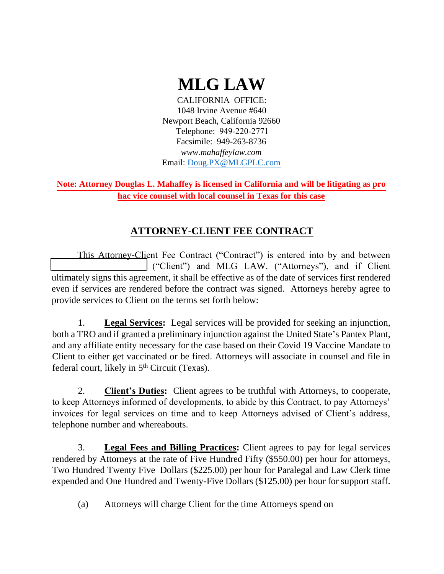# **MLG LAW**

CALIFORNIA OFFICE: 1048 Irvine Avenue #640 Newport Beach, California 92660 Telephone: 949-220-2771 Facsimile: 949-263-8736 *www.mahaffeylaw.com* Email: [Doug.PX@MLGPLC.com](mailto:Doug.PX@MLGPLC.com)

**hac vice counsel with local counsel in Texas for this case Note: Attorney Douglas L. Mahaffey is licensed in California and will be litigating as pro** 

# **ATTORNEY-CLIENT FEE CONTRACT**

This Attorney-Client Fee Contract ("Contract") is entered into by and between \_\_\_\_\_\_\_\_\_\_\_\_\_\_\_\_\_\_\_\_ ("Client") and MLG LAW. ("Attorneys"), and if Client ultimately signs this agreement, it shall be effective as of the date of services first rendered even if services are rendered before the contract was signed. Attorneys hereby agree to provide services to Client on the terms set forth below:

1. **Legal Services:** Legal services will be provided for seeking an injunction, both a TRO and if granted a preliminary injunction against the United State's Pantex Plant, and any affiliate entity necessary for the case based on their Covid 19 Vaccine Mandate to Client to either get vaccinated or be fired. Attorneys will associate in counsel and file in federal court, likely in 5<sup>th</sup> Circuit (Texas).

2. **Client's Duties:** Client agrees to be truthful with Attorneys, to cooperate, to keep Attorneys informed of developments, to abide by this Contract, to pay Attorneys' invoices for legal services on time and to keep Attorneys advised of Client's address, telephone number and whereabouts.

3. **Legal Fees and Billing Practices:** Client agrees to pay for legal services rendered by Attorneys at the rate of Five Hundred Fifty (\$550.00) per hour for attorneys, Two Hundred Twenty Five Dollars (\$225.00) per hour for Paralegal and Law Clerk time expended and One Hundred and Twenty-Five Dollars (\$125.00) per hour for support staff.

(a) Attorneys will charge Client for the time Attorneys spend on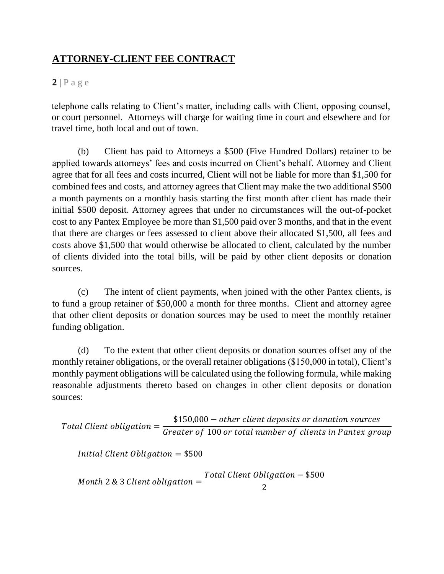#### **2** | P a g e

telephone calls relating to Client's matter, including calls with Client, opposing counsel, or court personnel. Attorneys will charge for waiting time in court and elsewhere and for travel time, both local and out of town.

(b) Client has paid to Attorneys a \$500 (Five Hundred Dollars) retainer to be applied towards attorneys' fees and costs incurred on Client's behalf. Attorney and Client agree that for all fees and costs incurred, Client will not be liable for more than \$1,500 for combined fees and costs, and attorney agrees that Client may make the two additional \$500 a month payments on a monthly basis starting the first month after client has made their initial \$500 deposit. Attorney agrees that under no circumstances will the out-of-pocket cost to any Pantex Employee be more than \$1,500 paid over 3 months, and that in the event that there are charges or fees assessed to client above their allocated \$1,500, all fees and costs above \$1,500 that would otherwise be allocated to client, calculated by the number of clients divided into the total bills, will be paid by other client deposits or donation sources.

(c) The intent of client payments, when joined with the other Pantex clients, is to fund a group retainer of \$50,000 a month for three months. Client and attorney agree that other client deposits or donation sources may be used to meet the monthly retainer funding obligation.

(d) To the extent that other client deposits or donation sources offset any of the monthly retainer obligations, or the overall retainer obligations (\$150,000 in total), Client's monthly payment obligations will be calculated using the following formula, while making reasonable adjustments thereto based on changes in other client deposits or donation sources:

 $\emph{Total Client obligation} =$  $\$150,\!000$   $-$  other client deposits or donation sources Greater of 100 or total number of clients in Pantex group

*Initial Client Obligation*  $= $500$ 

Month  $2 \& 3$  Client obligation  $=$ Total Client Obligation — \$500 2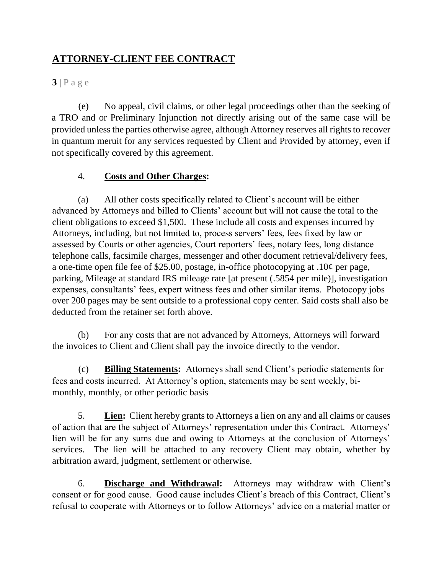**3** | P a g e

(e) No appeal, civil claims, or other legal proceedings other than the seeking of a TRO and or Preliminary Injunction not directly arising out of the same case will be provided unless the parties otherwise agree, although Attorney reserves all rights to recover in quantum meruit for any services requested by Client and Provided by attorney, even if not specifically covered by this agreement.

#### 4. **Costs and Other Charges:**

(a) All other costs specifically related to Client's account will be either advanced by Attorneys and billed to Clients' account but will not cause the total to the client obligations to exceed \$1,500. These include all costs and expenses incurred by Attorneys, including, but not limited to, process servers' fees, fees fixed by law or assessed by Courts or other agencies, Court reporters' fees, notary fees, long distance telephone calls, facsimile charges, messenger and other document retrieval/delivery fees, a one-time open file fee of \$25.00, postage, in-office photocopying at .10¢ per page, parking, Mileage at standard IRS mileage rate [at present (.5854 per mile)], investigation expenses, consultants' fees, expert witness fees and other similar items. Photocopy jobs over 200 pages may be sent outside to a professional copy center. Said costs shall also be deducted from the retainer set forth above.

(b) For any costs that are not advanced by Attorneys, Attorneys will forward the invoices to Client and Client shall pay the invoice directly to the vendor.

(c) **Billing Statements:** Attorneys shall send Client's periodic statements for fees and costs incurred. At Attorney's option, statements may be sent weekly, bimonthly, monthly, or other periodic basis

5. **Lien:** Client hereby grants to Attorneys a lien on any and all claims or causes of action that are the subject of Attorneys' representation under this Contract. Attorneys' lien will be for any sums due and owing to Attorneys at the conclusion of Attorneys' services. The lien will be attached to any recovery Client may obtain, whether by arbitration award, judgment, settlement or otherwise.

6. **Discharge and Withdrawal:** Attorneys may withdraw with Client's consent or for good cause. Good cause includes Client's breach of this Contract, Client's refusal to cooperate with Attorneys or to follow Attorneys' advice on a material matter or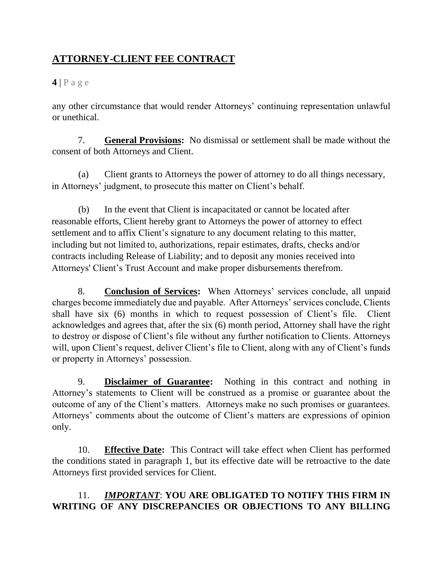### **4** | P a g e

any other circumstance that would render Attorneys' continuing representation unlawful or unethical.

7. **General Provisions:** No dismissal or settlement shall be made without the consent of both Attorneys and Client.

(a) Client grants to Attorneys the power of attorney to do all things necessary, in Attorneys' judgment, to prosecute this matter on Client's behalf.

(b) In the event that Client is incapacitated or cannot be located after reasonable efforts, Client hereby grant to Attorneys the power of attorney to effect settlement and to affix Client's signature to any document relating to this matter, including but not limited to, authorizations, repair estimates, drafts, checks and/or contracts including Release of Liability; and to deposit any monies received into Attorneys' Client's Trust Account and make proper disbursements therefrom.

8. **Conclusion of Services:** When Attorneys' services conclude, all unpaid charges become immediately due and payable. After Attorneys' services conclude, Clients shall have six (6) months in which to request possession of Client's file. Client acknowledges and agrees that, after the six (6) month period, Attorney shall have the right to destroy or dispose of Client's file without any further notification to Clients. Attorneys will, upon Client's request, deliver Client's file to Client, along with any of Client's funds or property in Attorneys' possession.

9. **Disclaimer of Guarantee:** Nothing in this contract and nothing in Attorney's statements to Client will be construed as a promise or guarantee about the outcome of any of the Client's matters. Attorneys make no such promises or guarantees. Attorneys' comments about the outcome of Client's matters are expressions of opinion only.

10. **Effective Date:** This Contract will take effect when Client has performed the conditions stated in paragraph 1, but its effective date will be retroactive to the date Attorneys first provided services for Client.

### 11. *IMPORTANT*: **YOU ARE OBLIGATED TO NOTIFY THIS FIRM IN WRITING OF ANY DISCREPANCIES OR OBJECTIONS TO ANY BILLING**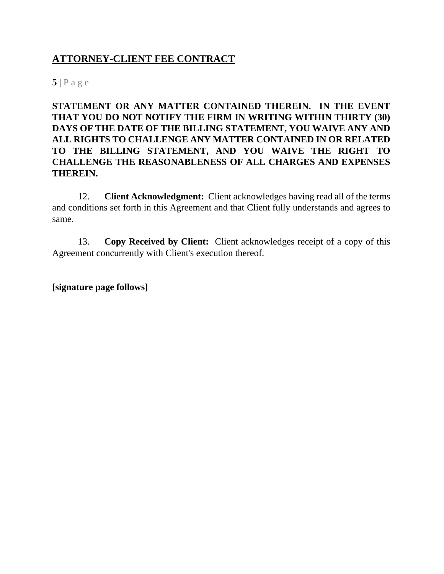**5** | P a g e

**STATEMENT OR ANY MATTER CONTAINED THEREIN. IN THE EVENT THAT YOU DO NOT NOTIFY THE FIRM IN WRITING WITHIN THIRTY (30) DAYS OF THE DATE OF THE BILLING STATEMENT, YOU WAIVE ANY AND ALL RIGHTS TO CHALLENGE ANY MATTER CONTAINED IN OR RELATED TO THE BILLING STATEMENT, AND YOU WAIVE THE RIGHT TO CHALLENGE THE REASONABLENESS OF ALL CHARGES AND EXPENSES THEREIN.** 

12. **Client Acknowledgment:** Client acknowledges having read all of the terms and conditions set forth in this Agreement and that Client fully understands and agrees to same.

13. **Copy Received by Client:** Client acknowledges receipt of a copy of this Agreement concurrently with Client's execution thereof.

**[signature page follows]**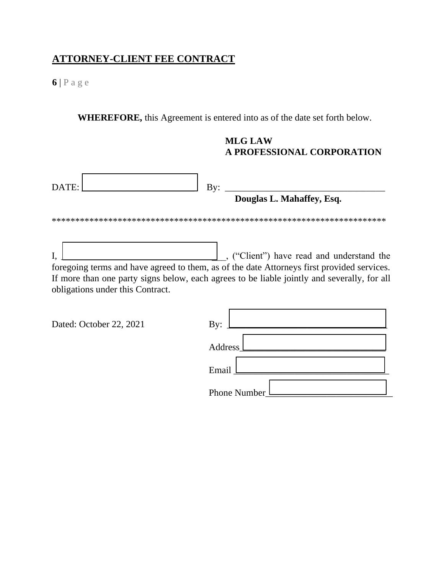**6** | P a g e

**WHEREFORE,** this Agreement is entered into as of the date set forth below.

#### **MLG LAW A PROFESSIONAL CORPORATION**

| DATE: | By:<br>Douglas L. Mahaffey, Esq.                                                                                                                                                                                                                                         |
|-------|--------------------------------------------------------------------------------------------------------------------------------------------------------------------------------------------------------------------------------------------------------------------------|
|       |                                                                                                                                                                                                                                                                          |
|       | ("Client") have read and understand the<br>foregoing terms and have agreed to them, as of the date Attorneys first provided services.<br>If more than one party signs below, each agrees to be liable jointly and severally, for all<br>obligations under this Contract. |

|  | Dated: October 22, 2021 |  |  |
|--|-------------------------|--|--|
|--|-------------------------|--|--|

| Dated: October 22, 2021 | By:                  |
|-------------------------|----------------------|
|                         | Address <sub>L</sub> |
|                         | Email                |
|                         | Phone Number         |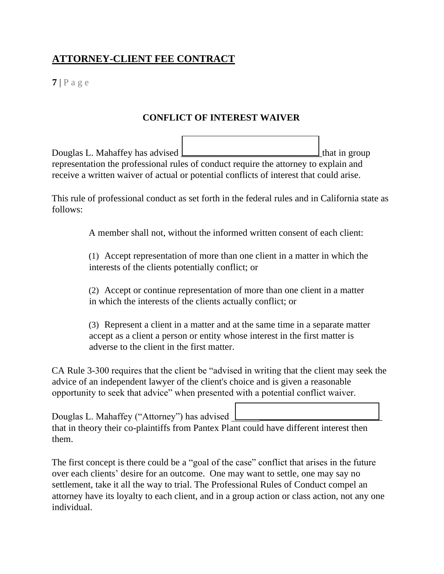**7** | P a g e

#### **CONFLICT OF INTEREST WAIVER**

Douglas L. Mahaffey has advised <u>Lessengen and the set of the set of the set of the set of the set of the set of</u> representation the professional rules of conduct require the attorney to explain and receive a written waiver of actual or potential conflicts of interest that could arise.

This rule of professional conduct as set forth in the federal rules and in California state as follows:

A member shall not, without the informed written consent of each client:

(1) Accept representation of more than one client in a matter in which the interests of the clients potentially conflict; or

(2) Accept or continue representation of more than one client in a matter in which the interests of the clients actually conflict; or

(3) Represent a client in a matter and at the same time in a separate matter accept as a client a person or entity whose interest in the first matter is adverse to the client in the first matter.

CA Rule 3-300 requires that the client be "advised in writing that the client may seek the advice of an independent lawyer of the client's choice and is given a reasonable opportunity to seek that advice" when presented with a potential conflict waiver.

Douglas L. Mahaffey ("Attorney") has advised that in theory their co-plaintiffs from Pantex Plant could have different interest then them.

The first concept is there could be a "goal of the case" conflict that arises in the future over each clients' desire for an outcome. One may want to settle, one may say no settlement, take it all the way to trial. The Professional Rules of Conduct compel an attorney have its loyalty to each client, and in a group action or class action, not any one individual.